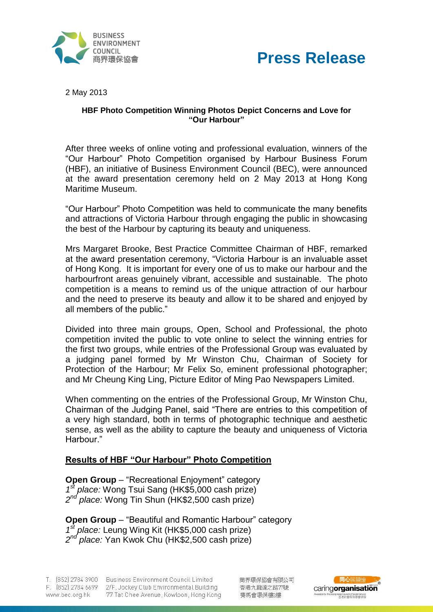



2 May 2013

### **HBF Photo Competition Winning Photos Depict Concerns and Love for "Our Harbour"**

After three weeks of online voting and professional evaluation, winners of the "Our Harbour" Photo Competition organised by Harbour Business Forum (HBF), an initiative of Business Environment Council (BEC), were announced at the award presentation ceremony held on 2 May 2013 at Hong Kong Maritime Museum.

"Our Harbour" Photo Competition was held to communicate the many benefits and attractions of Victoria Harbour through engaging the public in showcasing the best of the Harbour by capturing its beauty and uniqueness.

Mrs Margaret Brooke, Best Practice Committee Chairman of HBF, remarked at the award presentation ceremony, "Victoria Harbour is an invaluable asset of Hong Kong. It is important for every one of us to make our harbour and the harbourfront areas genuinely vibrant, accessible and sustainable. The photo competition is a means to remind us of the unique attraction of our harbour and the need to preserve its beauty and allow it to be shared and enjoyed by all members of the public."

Divided into three main groups, Open, School and Professional, the photo competition invited the public to vote online to select the winning entries for the first two groups, while entries of the Professional Group was evaluated by a judging panel formed by Mr Winston Chu, Chairman of Society for Protection of the Harbour; Mr Felix So, eminent professional photographer; and Mr Cheung King Ling, Picture Editor of Ming Pao Newspapers Limited.

When commenting on the entries of the Professional Group, Mr Winston Chu, Chairman of the Judging Panel, said "There are entries to this competition of a very high standard, both in terms of photographic technique and aesthetic sense, as well as the ability to capture the beauty and uniqueness of Victoria Harbour."

# **Results of HBF "Our Harbour" Photo Competition**

**Open Group** – "Recreational Enjoyment" category *1* <sup>f</sup> place: Wong Tsui Sang (HK\$5,000 cash prize) *2 nd place:* Wong Tin Shun (HK\$2,500 cash prize)

**Open Group** – "Beautiful and Romantic Harbour" category *1 st place:* Leung Wing Kit (HK\$5,000 cash prize) *2 nd place:* Yan Kwok Chu (HK\$2,500 cash prize)

T. (852) 2784 3900 Business Environment Council Limited F. (852) 2784 6699 2/F, Jockey Club Environmental Building 77 Tat Chee Avenue, Kowloon, Hong Kong www.bec.org.hk

商界環保協會有限公司 香港九龍達之路77號 審馬會環保樓/樓

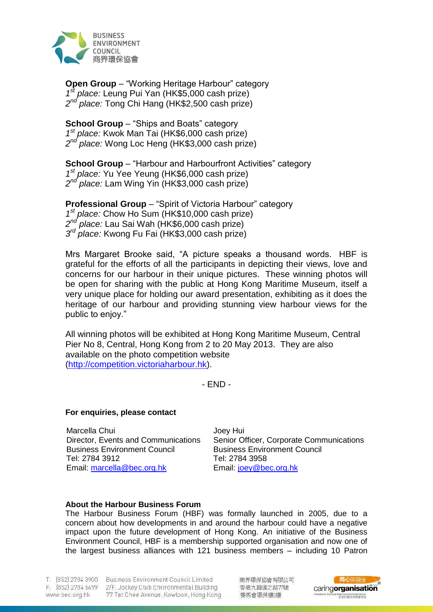

**Open Group** – "Working Heritage Harbour" category *1 st place:* Leung Pui Yan (HK\$5,000 cash prize) *2 nd place:* Tong Chi Hang (HK\$2,500 cash prize)

**School Group – "Ships and Boats" category** *1 st place:* Kwok Man Tai (HK\$6,000 cash prize) *2 nd place:* Wong Loc Heng (HK\$3,000 cash prize)

**School Group** – "Harbour and Harbourfront Activities" category *1 st place:* Yu Yee Yeung (HK\$6,000 cash prize) *2 nd place:* Lam Wing Yin (HK\$3,000 cash prize)

**Professional Group** – "Spirit of Victoria Harbour" category *1 st place:* Chow Ho Sum (HK\$10,000 cash prize)  $2^{nd}$ *nd place:* Lau Sai Wah (HK\$6,000 cash prize) *3 rd place:* Kwong Fu Fai (HK\$3,000 cash prize)

Mrs Margaret Brooke said, "A picture speaks a thousand words. HBF is grateful for the efforts of all the participants in depicting their views, love and concerns for our harbour in their unique pictures. These winning photos will be open for sharing with the public at Hong Kong Maritime Museum, itself a very unique place for holding our award presentation, exhibiting as it does the heritage of our harbour and providing stunning view harbour views for the public to enjoy."

All winning photos will be exhibited at Hong Kong Maritime Museum, Central Pier No 8, Central, Hong Kong from 2 to 20 May 2013. They are also available on the photo competition website [\(http://competition.victoriaharbour.hk\)](http://competition.victoriaharbour.hk/).

- END -

#### **For enquiries, please contact**

Marcella Chui Director, Events and Communications Business Environment Council Tel: 2784 3912 Email: [marcella@bec.org.hk](mailto:marcella@bec.org.hk)

Joey Hui Senior Officer, Corporate Communications Business Environment Council Tel: 2784 3958 Email: [joey@bec.org.hk](mailto:joey@bec.org.hk)

### **About the Harbour Business Forum**

The Harbour Business Forum (HBF) was formally launched in 2005, due to a concern about how developments in and around the harbour could have a negative impact upon the future development of Hong Kong. An initiative of the Business Environment Council, HBF is a membership supported organisation and now one of the largest business alliances with 121 business members – including 10 Patron

www.bec.org.hk

T. (852) 2784 3900 Business Environment Council Limited F. (852) 2784 6699 2/F, Jockey Club Environmental Building 77 Tat Chee Avenue, Kowloon, Hong Kong 商界環保協會有限公司 香港九龍達之路77號 賽馬會環保樓2樓

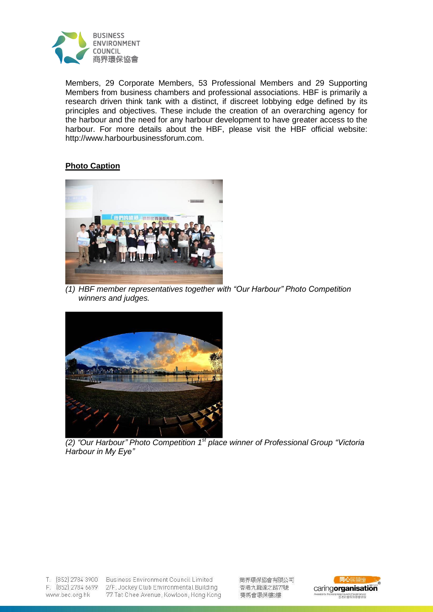

Members, 29 Corporate Members, 53 Professional Members and 29 Supporting Members from business chambers and professional associations. HBF is primarily a research driven think tank with a distinct, if discreet lobbying edge defined by its principles and objectives. These include the creation of an overarching agency for the harbour and the need for any harbour development to have greater access to the harbour. For more details about the HBF, please visit the HBF official website: http://www.harbourbusinessforum.com.

# **Photo Caption**



*(1) HBF member representatives together with "Our Harbour" Photo Competition winners and judges.*



*(2) "Our Harbour" Photo Competition 1st place winner of Professional Group "Victoria Harbour in My Eye"*

F. (852) 2784 6699 www.bec.org.hk

T. (852) 2784 3900 Business Environment Council Limited 2/F, Jockey Club Environmental Building 77 Tat Chee Avenue, Kowloon, Hong Kong 商界環保協會有限公司 香港九龍達之路77號 賽馬會環保樓2樓